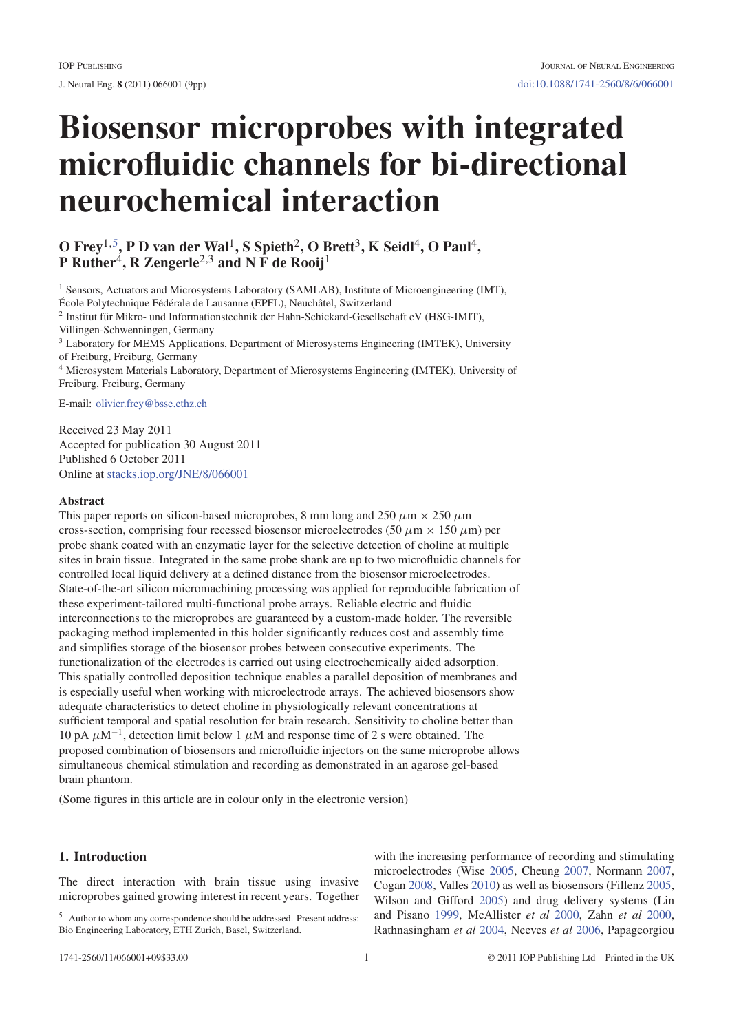# **Biosensor microprobes with integrated microfluidic channels for bi-directional neurochemical interaction**

# **O Frey**1,5**, P D van der Wal**1**, S Spieth**2**, O Brett**3**, K Seidl**4**, O Paul**4**, P** Ruther<sup>4</sup>, R Zengerle<sup>2,3</sup> and N F de Rooij<sup>1</sup>

<sup>1</sup> Sensors, Actuators and Microsystems Laboratory (SAMLAB), Institute of Microengineering (IMT), École Polytechnique Fédérale de Lausanne (EPFL), Neuchâtel, Switzerland <sup>2</sup> Institut fur Mikro- und Informationstechnik der Hahn-Schickard-Gesellschaft eV (HSG-IMIT), ¨ Villingen-Schwenningen, Germany <sup>3</sup> Laboratory for MEMS Applications, Department of Microsystems Engineering (IMTEK), University of Freiburg, Freiburg, Germany <sup>4</sup> Microsystem Materials Laboratory, Department of Microsystems Engineering (IMTEK), University of Freiburg, Freiburg, Germany

E-mail: olivier.frey@bsse.ethz.ch

Received 23 May 2011 Accepted for publication 30 August 2011 Published 6 October 2011 Online at stacks.iop.org/JNE/8/066001

# **Abstract**

This paper reports on silicon-based microprobes, 8 mm long and 250  $\mu$ m  $\times$  250  $\mu$ m cross-section, comprising four recessed biosensor microelectrodes (50  $\mu$ m  $\times$  150  $\mu$ m) per probe shank coated with an enzymatic layer for the selective detection of choline at multiple sites in brain tissue. Integrated in the same probe shank are up to two microfluidic channels for controlled local liquid delivery at a defined distance from the biosensor microelectrodes. State-of-the-art silicon micromachining processing was applied for reproducible fabrication of these experiment-tailored multi-functional probe arrays. Reliable electric and fluidic interconnections to the microprobes are guaranteed by a custom-made holder. The reversible packaging method implemented in this holder significantly reduces cost and assembly time and simplifies storage of the biosensor probes between consecutive experiments. The functionalization of the electrodes is carried out using electrochemically aided adsorption. This spatially controlled deposition technique enables a parallel deposition of membranes and is especially useful when working with microelectrode arrays. The achieved biosensors show adequate characteristics to detect choline in physiologically relevant concentrations at sufficient temporal and spatial resolution for brain research. Sensitivity to choline better than 10 pA  $\mu$ M<sup>-1</sup>, detection limit below 1  $\mu$ M and response time of 2 s were obtained. The proposed combination of biosensors and microfluidic injectors on the same microprobe allows simultaneous chemical stimulation and recording as demonstrated in an agarose gel-based brain phantom.

(Some figures in this article are in colour only in the electronic version)

# **1. Introduction**

The direct interaction with brain tissue using invasive microprobes gained growing interest in recent years. Together with the increasing performance of recording and stimulating microelectrodes (Wise 2005, Cheung 2007, Normann 2007, Cogan 2008, Valles 2010) as well as biosensors (Fillenz 2005, Wilson and Gifford 2005) and drug delivery systems (Lin and Pisano 1999, McAllister *et al* 2000, Zahn *et al* 2000, Rathnasingham *et al* 2004, Neeves *et al* 2006, Papageorgiou

<sup>5</sup> Author to whom any correspondence should be addressed. Present address: Bio Engineering Laboratory, ETH Zurich, Basel, Switzerland.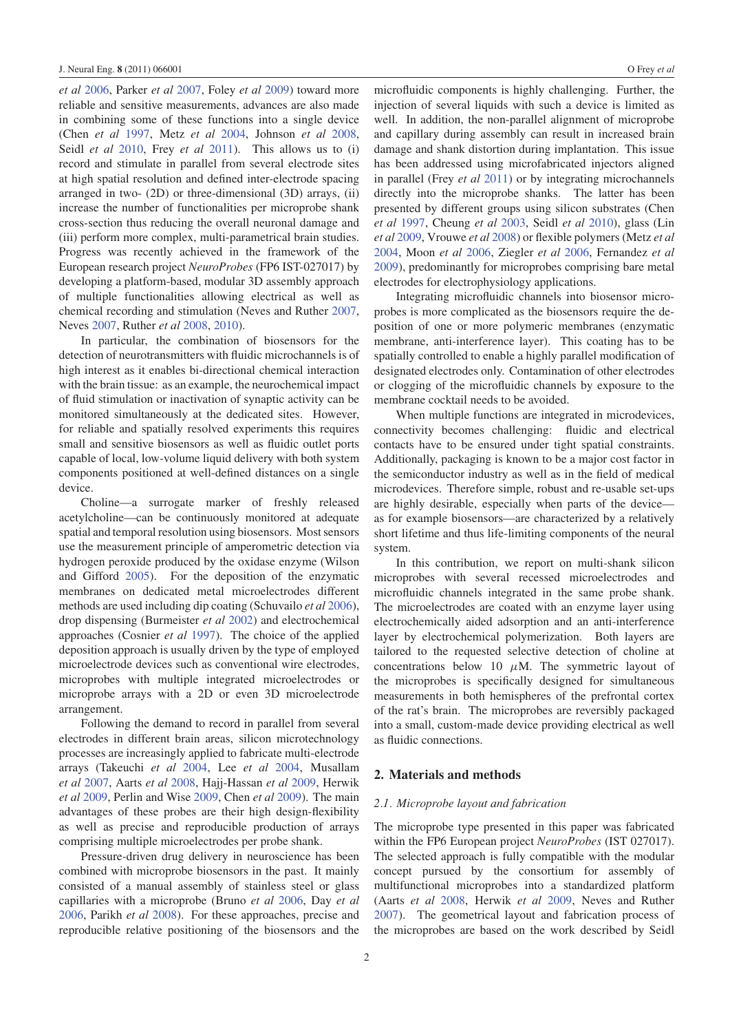*et al* 2006, Parker *et al* 2007, Foley *et al* 2009) toward more reliable and sensitive measurements, advances are also made in combining some of these functions into a single device (Chen *et al* 1997, Metz *et al* 2004, Johnson *et al* 2008, Seidl *et al* 2010, Frey *et al* 2011). This allows us to (i) record and stimulate in parallel from several electrode sites at high spatial resolution and defined inter-electrode spacing arranged in two- (2D) or three-dimensional (3D) arrays, (ii) increase the number of functionalities per microprobe shank cross-section thus reducing the overall neuronal damage and (iii) perform more complex, multi-parametrical brain studies. Progress was recently achieved in the framework of the European research project *NeuroProbes* (FP6 IST-027017) by developing a platform-based, modular 3D assembly approach of multiple functionalities allowing electrical as well as chemical recording and stimulation (Neves and Ruther 2007, Neves 2007, Ruther *et al* 2008, 2010).

In particular, the combination of biosensors for the detection of neurotransmitters with fluidic microchannels is of high interest as it enables bi-directional chemical interaction with the brain tissue: as an example, the neurochemical impact of fluid stimulation or inactivation of synaptic activity can be monitored simultaneously at the dedicated sites. However, for reliable and spatially resolved experiments this requires small and sensitive biosensors as well as fluidic outlet ports capable of local, low-volume liquid delivery with both system components positioned at well-defined distances on a single device.

Choline—a surrogate marker of freshly released acetylcholine—can be continuously monitored at adequate spatial and temporal resolution using biosensors. Most sensors use the measurement principle of amperometric detection via hydrogen peroxide produced by the oxidase enzyme (Wilson and Gifford 2005). For the deposition of the enzymatic membranes on dedicated metal microelectrodes different methods are used including dip coating (Schuvailo *et al* 2006), drop dispensing (Burmeister *et al* 2002) and electrochemical approaches (Cosnier *et al* 1997). The choice of the applied deposition approach is usually driven by the type of employed microelectrode devices such as conventional wire electrodes, microprobes with multiple integrated microelectrodes or microprobe arrays with a 2D or even 3D microelectrode arrangement.

Following the demand to record in parallel from several electrodes in different brain areas, silicon microtechnology processes are increasingly applied to fabricate multi-electrode arrays (Takeuchi *et al* 2004, Lee *et al* 2004, Musallam *et al* 2007, Aarts *et al* 2008, Hajj-Hassan *et al* 2009, Herwik *et al* 2009, Perlin and Wise 2009, Chen *et al* 2009). The main advantages of these probes are their high design-flexibility as well as precise and reproducible production of arrays comprising multiple microelectrodes per probe shank.

Pressure-driven drug delivery in neuroscience has been combined with microprobe biosensors in the past. It mainly consisted of a manual assembly of stainless steel or glass capillaries with a microprobe (Bruno *et al* 2006, Day *et al* 2006, Parikh *et al* 2008). For these approaches, precise and reproducible relative positioning of the biosensors and the microfluidic components is highly challenging. Further, the injection of several liquids with such a device is limited as well. In addition, the non-parallel alignment of microprobe and capillary during assembly can result in increased brain damage and shank distortion during implantation. This issue has been addressed using microfabricated injectors aligned in parallel (Frey *et al* 2011) or by integrating microchannels directly into the microprobe shanks. The latter has been presented by different groups using silicon substrates (Chen *et al* 1997, Cheung *et al* 2003, Seidl *et al* 2010), glass (Lin *et al* 2009, Vrouwe *et al* 2008) or flexible polymers (Metz *et al* 2004, Moon *et al* 2006, Ziegler *et al* 2006, Fernandez *et al* 2009), predominantly for microprobes comprising bare metal electrodes for electrophysiology applications.

Integrating microfluidic channels into biosensor microprobes is more complicated as the biosensors require the deposition of one or more polymeric membranes (enzymatic membrane, anti-interference layer). This coating has to be spatially controlled to enable a highly parallel modification of designated electrodes only. Contamination of other electrodes or clogging of the microfluidic channels by exposure to the membrane cocktail needs to be avoided.

When multiple functions are integrated in microdevices, connectivity becomes challenging: fluidic and electrical contacts have to be ensured under tight spatial constraints. Additionally, packaging is known to be a major cost factor in the semiconductor industry as well as in the field of medical microdevices. Therefore simple, robust and re-usable set-ups are highly desirable, especially when parts of the device as for example biosensors—are characterized by a relatively short lifetime and thus life-limiting components of the neural system.

In this contribution, we report on multi-shank silicon microprobes with several recessed microelectrodes and microfluidic channels integrated in the same probe shank. The microelectrodes are coated with an enzyme layer using electrochemically aided adsorption and an anti-interference layer by electrochemical polymerization. Both layers are tailored to the requested selective detection of choline at concentrations below 10  $\mu$ M. The symmetric layout of the microprobes is specifically designed for simultaneous measurements in both hemispheres of the prefrontal cortex of the rat's brain. The microprobes are reversibly packaged into a small, custom-made device providing electrical as well as fluidic connections.

# **2. Materials and methods**

#### *2.1. Microprobe layout and fabrication*

The microprobe type presented in this paper was fabricated within the FP6 European project *NeuroProbes* (IST 027017). The selected approach is fully compatible with the modular concept pursued by the consortium for assembly of multifunctional microprobes into a standardized platform (Aarts *et al* 2008, Herwik *et al* 2009, Neves and Ruther 2007). The geometrical layout and fabrication process of the microprobes are based on the work described by Seidl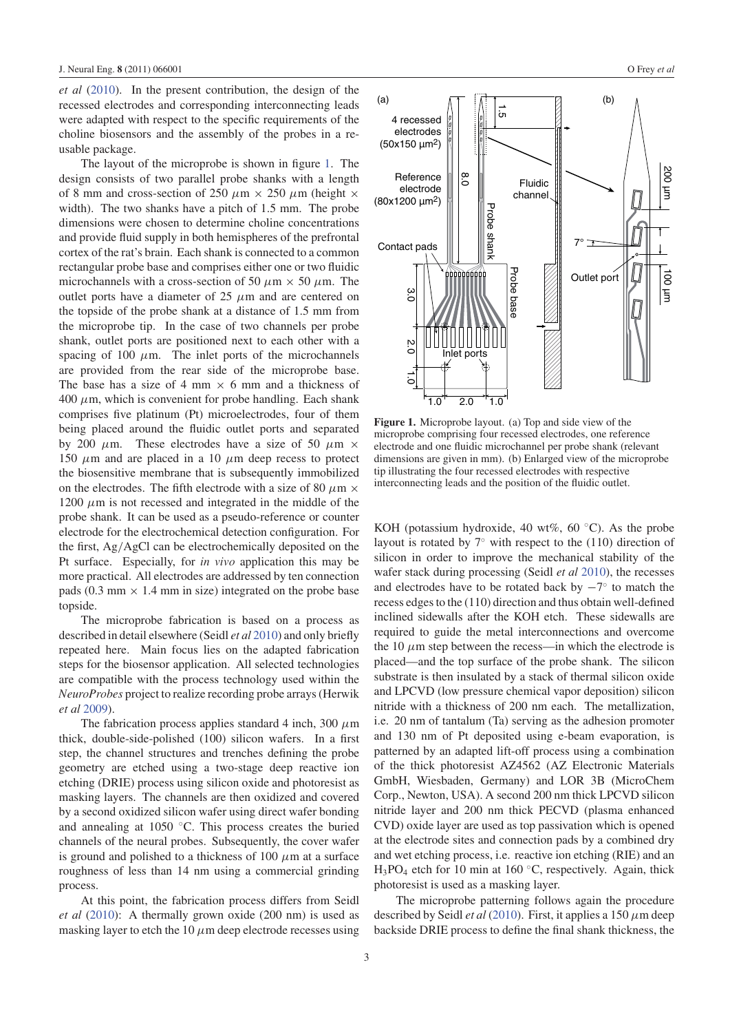*et al* (2010). In the present contribution, the design of the recessed electrodes and corresponding interconnecting leads were adapted with respect to the specific requirements of the choline biosensors and the assembly of the probes in a reusable package.

The layout of the microprobe is shown in figure 1. The design consists of two parallel probe shanks with a length of 8 mm and cross-section of 250  $\mu\text{m} \times$  250  $\mu\text{m}$  (height  $\times$ width). The two shanks have a pitch of 1.5 mm. The probe dimensions were chosen to determine choline concentrations and provide fluid supply in both hemispheres of the prefrontal cortex of the rat's brain. Each shank is connected to a common rectangular probe base and comprises either one or two fluidic microchannels with a cross-section of 50  $\mu$ m  $\times$  50  $\mu$ m. The outlet ports have a diameter of 25  $\mu$ m and are centered on the topside of the probe shank at a distance of 1.5 mm from the microprobe tip. In the case of two channels per probe shank, outlet ports are positioned next to each other with a spacing of 100  $\mu$ m. The inlet ports of the microchannels are provided from the rear side of the microprobe base. The base has a size of 4 mm  $\times$  6 mm and a thickness of  $400 \mu$ m, which is convenient for probe handling. Each shank comprises five platinum (Pt) microelectrodes, four of them being placed around the fluidic outlet ports and separated by 200  $\mu$ m. These electrodes have a size of 50  $\mu$ m  $\times$ 150  $\mu$ m and are placed in a 10  $\mu$ m deep recess to protect the biosensitive membrane that is subsequently immobilized on the electrodes. The fifth electrode with a size of 80  $\mu$ m  $\times$  $1200 \mu$ m is not recessed and integrated in the middle of the probe shank. It can be used as a pseudo-reference or counter electrode for the electrochemical detection configuration. For the first, Ag/AgCl can be electrochemically deposited on the Pt surface. Especially, for *in vivo* application this may be more practical. All electrodes are addressed by ten connection pads (0.3 mm  $\times$  1.4 mm in size) integrated on the probe base topside.

The microprobe fabrication is based on a process as described in detail elsewhere (Seidl *et al* 2010) and only briefly repeated here. Main focus lies on the adapted fabrication steps for the biosensor application. All selected technologies are compatible with the process technology used within the *NeuroProbes* project to realize recording probe arrays (Herwik *et al* 2009).

The fabrication process applies standard 4 inch, 300  $\mu$ m thick, double-side-polished (100) silicon wafers. In a first step, the channel structures and trenches defining the probe geometry are etched using a two-stage deep reactive ion etching (DRIE) process using silicon oxide and photoresist as masking layers. The channels are then oxidized and covered by a second oxidized silicon wafer using direct wafer bonding and annealing at 1050 ◦C. This process creates the buried channels of the neural probes. Subsequently, the cover wafer is ground and polished to a thickness of 100  $\mu$ m at a surface roughness of less than 14 nm using a commercial grinding process.

At this point, the fabrication process differs from Seidl *et al* (2010): A thermally grown oxide (200 nm) is used as masking layer to etch the 10  $\mu$ m deep electrode recesses using



**Figure 1.** Microprobe layout. (a) Top and side view of the microprobe comprising four recessed electrodes, one reference electrode and one fluidic microchannel per probe shank (relevant dimensions are given in mm). (b) Enlarged view of the microprobe tip illustrating the four recessed electrodes with respective interconnecting leads and the position of the fluidic outlet.

KOH (potassium hydroxide, 40 wt%, 60 ◦C). As the probe layout is rotated by  $7°$  with respect to the (110) direction of silicon in order to improve the mechanical stability of the wafer stack during processing (Seidl *et al* 2010), the recesses and electrodes have to be rotated back by  $-7°$  to match the recess edges to the (110) direction and thus obtain well-defined inclined sidewalls after the KOH etch. These sidewalls are required to guide the metal interconnections and overcome the 10  $\mu$ m step between the recess—in which the electrode is placed—and the top surface of the probe shank. The silicon substrate is then insulated by a stack of thermal silicon oxide and LPCVD (low pressure chemical vapor deposition) silicon nitride with a thickness of 200 nm each. The metallization, i.e. 20 nm of tantalum (Ta) serving as the adhesion promoter and 130 nm of Pt deposited using e-beam evaporation, is patterned by an adapted lift-off process using a combination of the thick photoresist AZ4562 (AZ Electronic Materials GmbH, Wiesbaden, Germany) and LOR 3B (MicroChem Corp., Newton, USA). A second 200 nm thick LPCVD silicon nitride layer and 200 nm thick PECVD (plasma enhanced CVD) oxide layer are used as top passivation which is opened at the electrode sites and connection pads by a combined dry and wet etching process, i.e. reactive ion etching (RIE) and an  $H_3PO_4$  etch for 10 min at 160 °C, respectively. Again, thick photoresist is used as a masking layer.

The microprobe patterning follows again the procedure described by Seidl *et al* (2010). First, it applies a 150 μm deep backside DRIE process to define the final shank thickness, the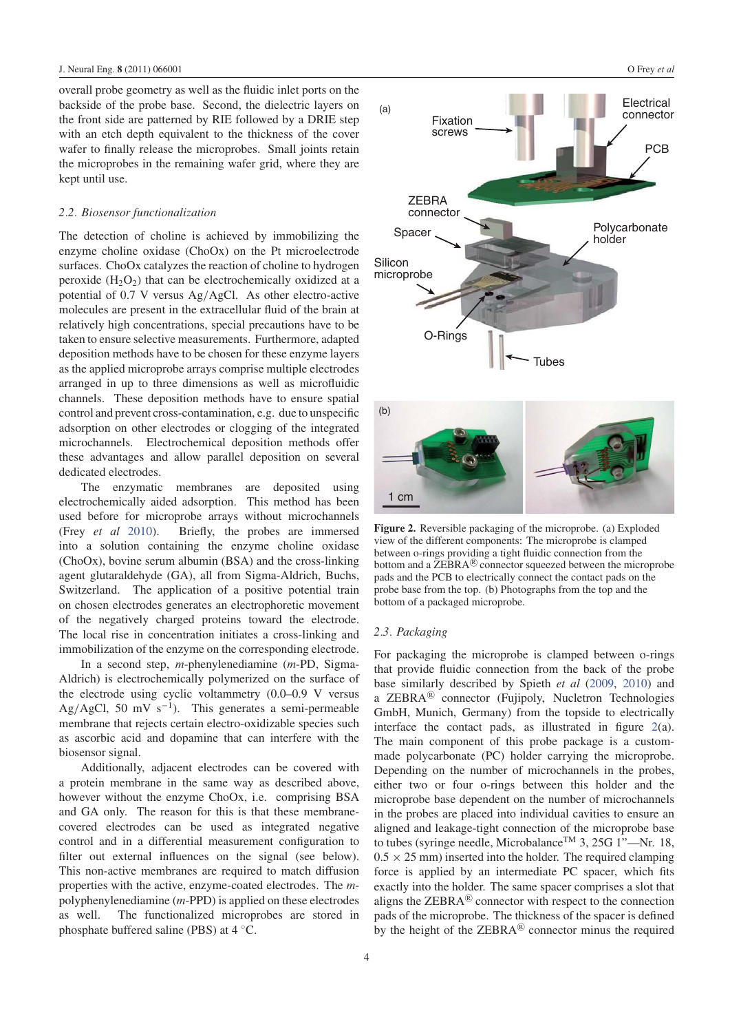overall probe geometry as well as the fluidic inlet ports on the backside of the probe base. Second, the dielectric layers on the front side are patterned by RIE followed by a DRIE step with an etch depth equivalent to the thickness of the cover wafer to finally release the microprobes. Small joints retain the microprobes in the remaining wafer grid, where they are kept until use.

#### *2.2. Biosensor functionalization*

The detection of choline is achieved by immobilizing the enzyme choline oxidase (ChoOx) on the Pt microelectrode surfaces. ChoOx catalyzes the reaction of choline to hydrogen peroxide  $(H_2O_2)$  that can be electrochemically oxidized at a potential of 0.7 V versus Ag/AgCl. As other electro-active molecules are present in the extracellular fluid of the brain at relatively high concentrations, special precautions have to be taken to ensure selective measurements. Furthermore, adapted deposition methods have to be chosen for these enzyme layers as the applied microprobe arrays comprise multiple electrodes arranged in up to three dimensions as well as microfluidic channels. These deposition methods have to ensure spatial control and prevent cross-contamination, e.g. due to unspecific adsorption on other electrodes or clogging of the integrated microchannels. Electrochemical deposition methods offer these advantages and allow parallel deposition on several dedicated electrodes.

The enzymatic membranes are deposited using electrochemically aided adsorption. This method has been used before for microprobe arrays without microchannels (Frey *et al* 2010). Briefly, the probes are immersed into a solution containing the enzyme choline oxidase (ChoOx), bovine serum albumin (BSA) and the cross-linking agent glutaraldehyde (GA), all from Sigma-Aldrich, Buchs, Switzerland. The application of a positive potential train on chosen electrodes generates an electrophoretic movement of the negatively charged proteins toward the electrode. The local rise in concentration initiates a cross-linking and immobilization of the enzyme on the corresponding electrode.

In a second step, *m*-phenylenediamine (*m*-PD, Sigma-Aldrich) is electrochemically polymerized on the surface of the electrode using cyclic voltammetry (0.0–0.9 V versus Ag/AgCl, 50 mV s<sup>-1</sup>). This generates a semi-permeable membrane that rejects certain electro-oxidizable species such as ascorbic acid and dopamine that can interfere with the biosensor signal.

Additionally, adjacent electrodes can be covered with a protein membrane in the same way as described above, however without the enzyme ChoOx, i.e. comprising BSA and GA only. The reason for this is that these membranecovered electrodes can be used as integrated negative control and in a differential measurement configuration to filter out external influences on the signal (see below). This non-active membranes are required to match diffusion properties with the active, enzyme-coated electrodes. The *m*polyphenylenediamine (*m*-PPD) is applied on these electrodes as well. The functionalized microprobes are stored in phosphate buffered saline (PBS) at 4 ◦C.



**Figure 2.** Reversible packaging of the microprobe. (a) Exploded view of the different components: The microprobe is clamped between o-rings providing a tight fluidic connection from the bottom and a  $\mathsf{ZEBRA}^{(k)}$  connector squeezed between the microprobe pads and the PCB to electrically connect the contact pads on the probe base from the top. (b) Photographs from the top and the bottom of a packaged microprobe.

#### *2.3. Packaging*

For packaging the microprobe is clamped between o-rings that provide fluidic connection from the back of the probe base similarly described by Spieth *et al* (2009, 2010) and a ZEBRA<sup>®</sup> connector (Fujipoly, Nucletron Technologies GmbH, Munich, Germany) from the topside to electrically interface the contact pads, as illustrated in figure 2(a). The main component of this probe package is a custommade polycarbonate (PC) holder carrying the microprobe. Depending on the number of microchannels in the probes, either two or four o-rings between this holder and the microprobe base dependent on the number of microchannels in the probes are placed into individual cavities to ensure an aligned and leakage-tight connection of the microprobe base to tubes (syringe needle, Microbalance<sup>TM</sup> 3, 25G 1"—Nr. 18,  $0.5 \times 25$  mm) inserted into the holder. The required clamping force is applied by an intermediate PC spacer, which fits exactly into the holder. The same spacer comprises a slot that aligns the  $ZEBRA^{(8)}$  connector with respect to the connection pads of the microprobe. The thickness of the spacer is defined by the height of the  $ZEBRA^{(8)}$  connector minus the required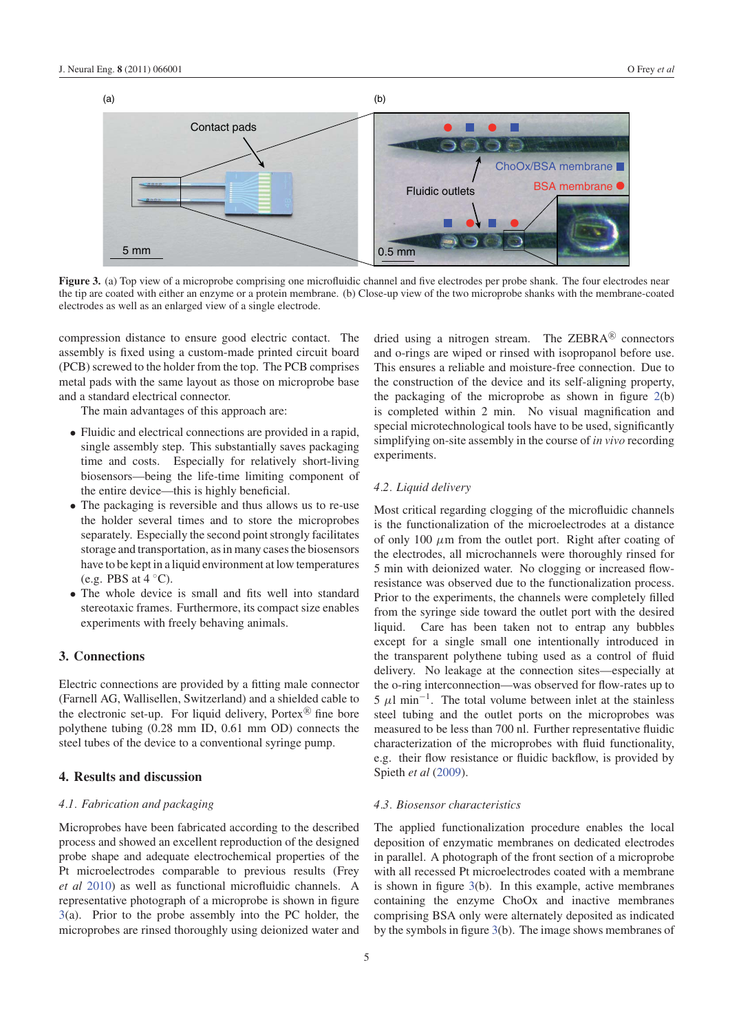

**Figure 3.** (a) Top view of a microprobe comprising one microfluidic channel and five electrodes per probe shank. The four electrodes near the tip are coated with either an enzyme or a protein membrane. (b) Close-up view of the two microprobe shanks with the membrane-coated electrodes as well as an enlarged view of a single electrode.

compression distance to ensure good electric contact. The assembly is fixed using a custom-made printed circuit board (PCB) screwed to the holder from the top. The PCB comprises metal pads with the same layout as those on microprobe base and a standard electrical connector.

The main advantages of this approach are:

- Fluidic and electrical connections are provided in a rapid, single assembly step. This substantially saves packaging time and costs. Especially for relatively short-living biosensors—being the life-time limiting component of the entire device—this is highly beneficial.
- The packaging is reversible and thus allows us to re-use the holder several times and to store the microprobes separately. Especially the second point strongly facilitates storage and transportation, as in many cases the biosensors have to be kept in a liquid environment at low temperatures (e.g. PBS at  $4 °C$ ).
- The whole device is small and fits well into standard stereotaxic frames. Furthermore, its compact size enables experiments with freely behaving animals.

# **3. Connections**

Electric connections are provided by a fitting male connector (Farnell AG, Wallisellen, Switzerland) and a shielded cable to the electronic set-up. For liquid delivery, Portex $\mathbb{R}$  fine bore polythene tubing (0.28 mm ID, 0.61 mm OD) connects the steel tubes of the device to a conventional syringe pump.

# **4. Results and discussion**

#### *4.1. Fabrication and packaging*

Microprobes have been fabricated according to the described process and showed an excellent reproduction of the designed probe shape and adequate electrochemical properties of the Pt microelectrodes comparable to previous results (Frey *et al* 2010) as well as functional microfluidic channels. A representative photograph of a microprobe is shown in figure 3(a). Prior to the probe assembly into the PC holder, the microprobes are rinsed thoroughly using deionized water and

dried using a nitrogen stream. The  $ZEBRA^{(8)}$  connectors and o-rings are wiped or rinsed with isopropanol before use. This ensures a reliable and moisture-free connection. Due to the construction of the device and its self-aligning property, the packaging of the microprobe as shown in figure  $2(b)$ is completed within 2 min. No visual magnification and special microtechnological tools have to be used, significantly simplifying on-site assembly in the course of *in vivo* recording experiments.

#### *4.2. Liquid delivery*

Most critical regarding clogging of the microfluidic channels is the functionalization of the microelectrodes at a distance of only 100  $\mu$ m from the outlet port. Right after coating of the electrodes, all microchannels were thoroughly rinsed for 5 min with deionized water. No clogging or increased flowresistance was observed due to the functionalization process. Prior to the experiments, the channels were completely filled from the syringe side toward the outlet port with the desired liquid. Care has been taken not to entrap any bubbles except for a single small one intentionally introduced in the transparent polythene tubing used as a control of fluid delivery. No leakage at the connection sites—especially at the o-ring interconnection—was observed for flow-rates up to  $5 \mu l \text{ min}^{-1}$ . The total volume between inlet at the stainless steel tubing and the outlet ports on the microprobes was measured to be less than 700 nl. Further representative fluidic characterization of the microprobes with fluid functionality, e.g. their flow resistance or fluidic backflow, is provided by Spieth *et al* (2009).

#### *4.3. Biosensor characteristics*

The applied functionalization procedure enables the local deposition of enzymatic membranes on dedicated electrodes in parallel. A photograph of the front section of a microprobe with all recessed Pt microelectrodes coated with a membrane is shown in figure 3(b). In this example, active membranes containing the enzyme ChoOx and inactive membranes comprising BSA only were alternately deposited as indicated by the symbols in figure 3(b). The image shows membranes of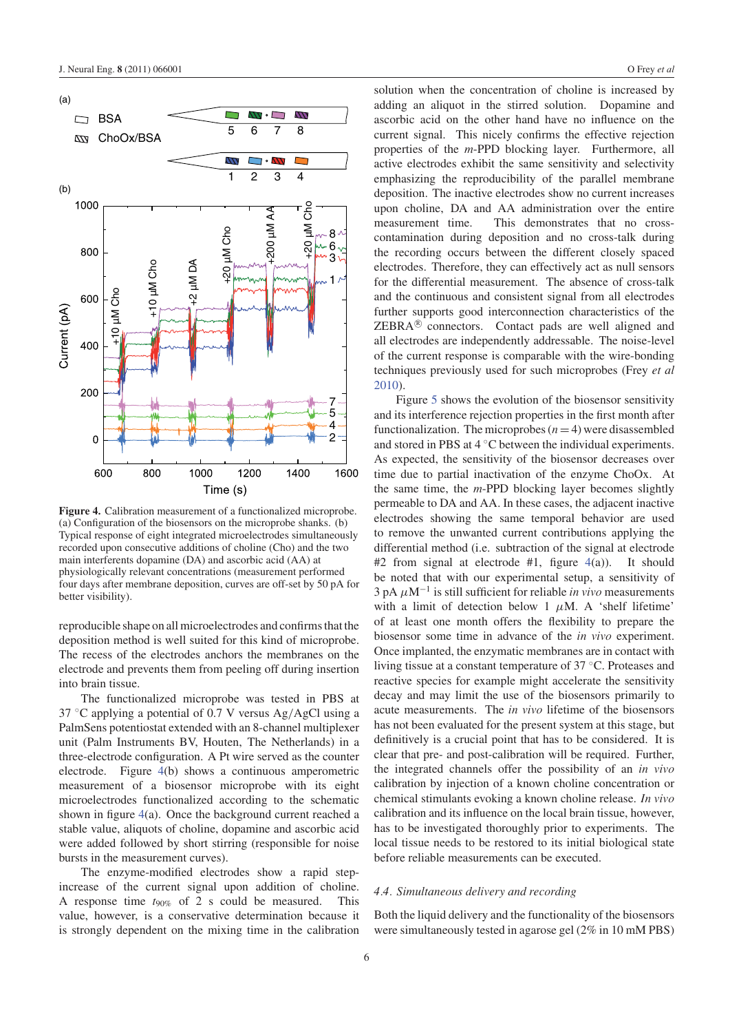

**Figure 4.** Calibration measurement of a functionalized microprobe. (a) Configuration of the biosensors on the microprobe shanks. (b) Typical response of eight integrated microelectrodes simultaneously recorded upon consecutive additions of choline (Cho) and the two main interferents dopamine (DA) and ascorbic acid (AA) at physiologically relevant concentrations (measurement performed four days after membrane deposition, curves are off-set by 50 pA for better visibility).

reproducible shape on all microelectrodes and confirms that the deposition method is well suited for this kind of microprobe. The recess of the electrodes anchors the membranes on the electrode and prevents them from peeling off during insertion into brain tissue.

The functionalized microprobe was tested in PBS at 37 ◦C applying a potential of 0.7 V versus Ag/AgCl using a PalmSens potentiostat extended with an 8-channel multiplexer unit (Palm Instruments BV, Houten, The Netherlands) in a three-electrode configuration. A Pt wire served as the counter electrode. Figure 4(b) shows a continuous amperometric measurement of a biosensor microprobe with its eight microelectrodes functionalized according to the schematic shown in figure 4(a). Once the background current reached a stable value, aliquots of choline, dopamine and ascorbic acid were added followed by short stirring (responsible for noise bursts in the measurement curves).

The enzyme-modified electrodes show a rapid stepincrease of the current signal upon addition of choline. A response time  $t_{90\%}$  of 2 s could be measured. This value, however, is a conservative determination because it is strongly dependent on the mixing time in the calibration solution when the concentration of choline is increased by adding an aliquot in the stirred solution. Dopamine and ascorbic acid on the other hand have no influence on the current signal. This nicely confirms the effective rejection properties of the *m*-PPD blocking layer. Furthermore, all active electrodes exhibit the same sensitivity and selectivity emphasizing the reproducibility of the parallel membrane deposition. The inactive electrodes show no current increases upon choline, DA and AA administration over the entire measurement time. This demonstrates that no crosscontamination during deposition and no cross-talk during the recording occurs between the different closely spaced electrodes. Therefore, they can effectively act as null sensors for the differential measurement. The absence of cross-talk and the continuous and consistent signal from all electrodes further supports good interconnection characteristics of the  $ZEBRA^{(g)}$  connectors. Contact pads are well aligned and all electrodes are independently addressable. The noise-level of the current response is comparable with the wire-bonding techniques previously used for such microprobes (Frey *et al* 2010).

Figure 5 shows the evolution of the biosensor sensitivity and its interference rejection properties in the first month after functionalization. The microprobes  $(n = 4)$  were disassembled and stored in PBS at 4 ◦C between the individual experiments. As expected, the sensitivity of the biosensor decreases over time due to partial inactivation of the enzyme ChoOx. At the same time, the *m*-PPD blocking layer becomes slightly permeable to DA and AA. In these cases, the adjacent inactive electrodes showing the same temporal behavior are used to remove the unwanted current contributions applying the differential method (i.e. subtraction of the signal at electrode #2 from signal at electrode #1, figure  $4(a)$ ). It should be noted that with our experimental setup, a sensitivity of  $3$  pA  $\mu$ M<sup>-1</sup> is still sufficient for reliable *in vivo* measurements with a limit of detection below 1  $\mu$ M. A 'shelf lifetime' of at least one month offers the flexibility to prepare the biosensor some time in advance of the *in vivo* experiment. Once implanted, the enzymatic membranes are in contact with living tissue at a constant temperature of 37 ◦C. Proteases and reactive species for example might accelerate the sensitivity decay and may limit the use of the biosensors primarily to acute measurements. The *in vivo* lifetime of the biosensors has not been evaluated for the present system at this stage, but definitively is a crucial point that has to be considered. It is clear that pre- and post-calibration will be required. Further, the integrated channels offer the possibility of an *in vivo* calibration by injection of a known choline concentration or chemical stimulants evoking a known choline release. *In vivo* calibration and its influence on the local brain tissue, however, has to be investigated thoroughly prior to experiments. The local tissue needs to be restored to its initial biological state before reliable measurements can be executed.

### *4.4. Simultaneous delivery and recording*

Both the liquid delivery and the functionality of the biosensors were simultaneously tested in agarose gel (2% in 10 mM PBS)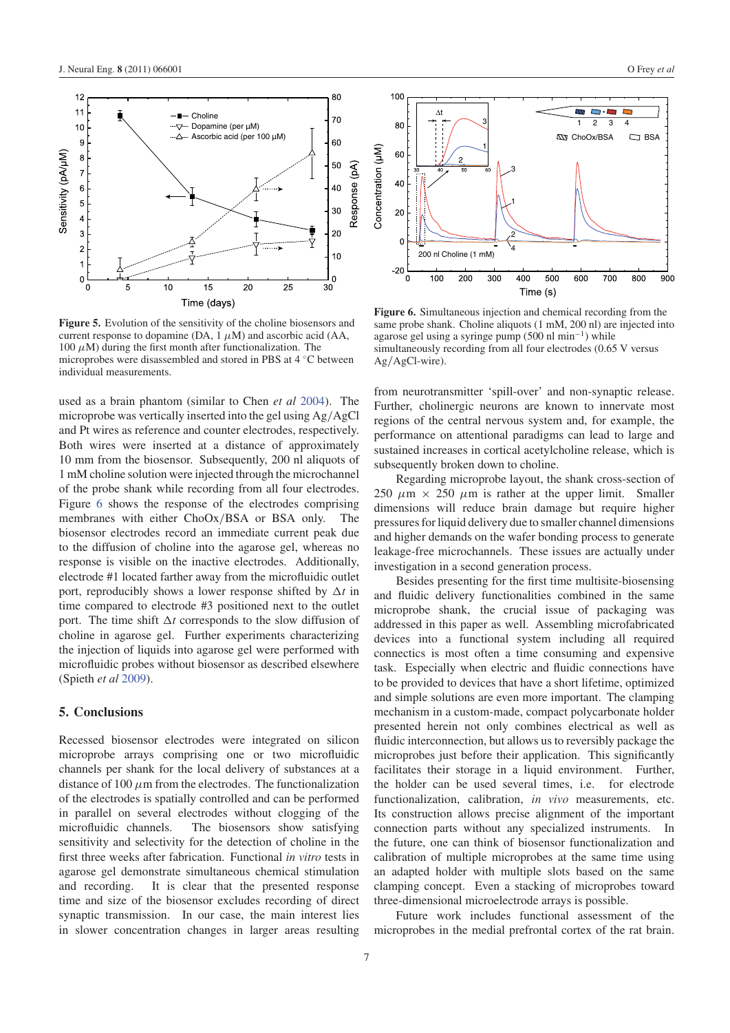

**Figure 5.** Evolution of the sensitivity of the choline biosensors and current response to dopamine (DA,  $1 \mu M$ ) and ascorbic acid (AA, 100  $\mu$ M) during the first month after functionalization. The microprobes were disassembled and stored in PBS at 4 ◦C between individual measurements.

used as a brain phantom (similar to Chen *et al* 2004). The microprobe was vertically inserted into the gel using Ag/AgCl and Pt wires as reference and counter electrodes, respectively. Both wires were inserted at a distance of approximately 10 mm from the biosensor. Subsequently, 200 nl aliquots of 1 mM choline solution were injected through the microchannel of the probe shank while recording from all four electrodes. Figure 6 shows the response of the electrodes comprising membranes with either ChoOx/BSA or BSA only. The biosensor electrodes record an immediate current peak due to the diffusion of choline into the agarose gel, whereas no response is visible on the inactive electrodes. Additionally, electrode #1 located farther away from the microfluidic outlet port, reproducibly shows a lower response shifted by  $\Delta t$  in time compared to electrode #3 positioned next to the outlet port. The time shift  $\Delta t$  corresponds to the slow diffusion of choline in agarose gel. Further experiments characterizing the injection of liquids into agarose gel were performed with microfluidic probes without biosensor as described elsewhere (Spieth *et al* 2009).

# **5. Conclusions**

Recessed biosensor electrodes were integrated on silicon microprobe arrays comprising one or two microfluidic channels per shank for the local delivery of substances at a distance of 100  $\mu$ m from the electrodes. The functionalization of the electrodes is spatially controlled and can be performed in parallel on several electrodes without clogging of the microfluidic channels. The biosensors show satisfying sensitivity and selectivity for the detection of choline in the first three weeks after fabrication. Functional *in vitro* tests in agarose gel demonstrate simultaneous chemical stimulation and recording. It is clear that the presented response time and size of the biosensor excludes recording of direct synaptic transmission. In our case, the main interest lies in slower concentration changes in larger areas resulting



**Figure 6.** Simultaneous injection and chemical recording from the same probe shank. Choline aliquots (1 mM, 200 nl) are injected into agarose gel using a syringe pump  $(500 \text{ nl min}^{-1})$  while simultaneously recording from all four electrodes (0.65 V versus Ag/AgCl-wire).

from neurotransmitter 'spill-over' and non-synaptic release. Further, cholinergic neurons are known to innervate most regions of the central nervous system and, for example, the performance on attentional paradigms can lead to large and sustained increases in cortical acetylcholine release, which is subsequently broken down to choline.

Regarding microprobe layout, the shank cross-section of 250  $\mu$ m  $\times$  250  $\mu$ m is rather at the upper limit. Smaller dimensions will reduce brain damage but require higher pressures for liquid delivery due to smaller channel dimensions and higher demands on the wafer bonding process to generate leakage-free microchannels. These issues are actually under investigation in a second generation process.

Besides presenting for the first time multisite-biosensing and fluidic delivery functionalities combined in the same microprobe shank, the crucial issue of packaging was addressed in this paper as well. Assembling microfabricated devices into a functional system including all required connectics is most often a time consuming and expensive task. Especially when electric and fluidic connections have to be provided to devices that have a short lifetime, optimized and simple solutions are even more important. The clamping mechanism in a custom-made, compact polycarbonate holder presented herein not only combines electrical as well as fluidic interconnection, but allows us to reversibly package the microprobes just before their application. This significantly facilitates their storage in a liquid environment. Further, the holder can be used several times, i.e. for electrode functionalization, calibration, *in vivo* measurements, etc. Its construction allows precise alignment of the important connection parts without any specialized instruments. In the future, one can think of biosensor functionalization and calibration of multiple microprobes at the same time using an adapted holder with multiple slots based on the same clamping concept. Even a stacking of microprobes toward three-dimensional microelectrode arrays is possible.

Future work includes functional assessment of the microprobes in the medial prefrontal cortex of the rat brain.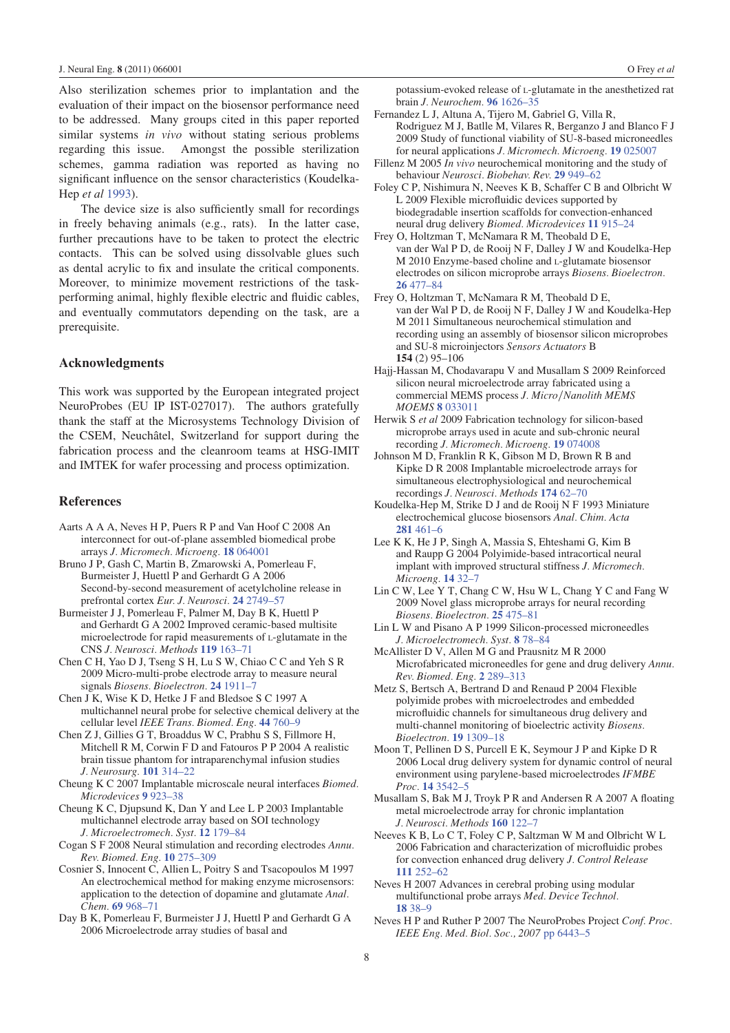Also sterilization schemes prior to implantation and the evaluation of their impact on the biosensor performance need to be addressed. Many groups cited in this paper reported similar systems *in vivo* without stating serious problems regarding this issue. Amongst the possible sterilization schemes, gamma radiation was reported as having no significant influence on the sensor characteristics (Koudelka-Hep *et al* 1993).

The device size is also sufficiently small for recordings in freely behaving animals (e.g., rats). In the latter case, further precautions have to be taken to protect the electric contacts. This can be solved using dissolvable glues such as dental acrylic to fix and insulate the critical components. Moreover, to minimize movement restrictions of the taskperforming animal, highly flexible electric and fluidic cables, and eventually commutators depending on the task, are a prerequisite.

# **Acknowledgments**

This work was supported by the European integrated project NeuroProbes (EU IP IST-027017). The authors gratefully thank the staff at the Microsystems Technology Division of the CSEM, Neuchâtel, Switzerland for support during the fabrication process and the cleanroom teams at HSG-IMIT and IMTEK for wafer processing and process optimization.

#### **References**

- Aarts A A A, Neves H P, Puers R P and Van Hoof C 2008 An interconnect for out-of-plane assembled biomedical probe arrays *J. Micromech. Microeng.* **18** 064001
- Bruno J P, Gash C, Martin B, Zmarowski A, Pomerleau F, Burmeister J, Huettl P and Gerhardt G A 2006 Second-by-second measurement of acetylcholine release in prefrontal cortex *Eur. J. Neurosci.* **24** 2749–57
- Burmeister J J, Pomerleau F, Palmer M, Day B K, Huettl P and Gerhardt G A 2002 Improved ceramic-based multisite microelectrode for rapid measurements of L-glutamate in the CNS *J. Neurosci. Methods* **119** 163–71
- Chen C H, Yao D J, Tseng S H, Lu S W, Chiao C C and Yeh S R 2009 Micro-multi-probe electrode array to measure neural signals *Biosens. Bioelectron.* **24** 1911–7
- Chen J K, Wise K D, Hetke J F and Bledsoe S C 1997 A multichannel neural probe for selective chemical delivery at the cellular level *IEEE Trans. Biomed. Eng.* **44** 760–9
- Chen Z J, Gillies G T, Broaddus W C, Prabhu S S, Fillmore H, Mitchell R M, Corwin F D and Fatouros P P 2004 A realistic brain tissue phantom for intraparenchymal infusion studies *J. Neurosurg.* **101** 314–22
- Cheung K C 2007 Implantable microscale neural interfaces *Biomed. Microdevices* **9** 923–38
- Cheung K C, Djupsund K, Dan Y and Lee L P 2003 Implantable multichannel electrode array based on SOI technology *J. Microelectromech. Syst.* **12** 179–84
- Cogan S F 2008 Neural stimulation and recording electrodes *Annu. Rev. Biomed. Eng.* **10** 275–309
- Cosnier S, Innocent C, Allien L, Poitry S and Tsacopoulos M 1997 An electrochemical method for making enzyme microsensors: application to the detection of dopamine and glutamate *Anal. Chem.* **69** 968–71
- Day B K, Pomerleau F, Burmeister J J, Huettl P and Gerhardt G A 2006 Microelectrode array studies of basal and

potassium-evoked release of L-glutamate in the anesthetized rat brain *J. Neurochem.* **96** 1626–35

- Fernandez L J, Altuna A, Tijero M, Gabriel G, Villa R, Rodriguez M J, Batlle M, Vilares R, Berganzo J and Blanco F J 2009 Study of functional viability of SU-8-based microneedles for neural applications *J. Micromech. Microeng.* **19** 025007
- Fillenz M 2005 *In vivo* neurochemical monitoring and the study of behaviour *Neurosci. Biobehav. Rev.* **29** 949–62
- Foley C P, Nishimura N, Neeves K B, Schaffer C B and Olbricht W L 2009 Flexible microfluidic devices supported by biodegradable insertion scaffolds for convection-enhanced neural drug delivery *Biomed. Microdevices* **11** 915–24
- Frey O, Holtzman T, McNamara R M, Theobald D E, van der Wal P D, de Rooij N F, Dalley J W and Koudelka-Hep M 2010 Enzyme-based choline and L-glutamate biosensor electrodes on silicon microprobe arrays *Biosens. Bioelectron.* **26** 477–84
- Frey O, Holtzman T, McNamara R M, Theobald D E, van der Wal P D, de Rooij N F, Dalley J W and Koudelka-Hep M 2011 Simultaneous neurochemical stimulation and recording using an assembly of biosensor silicon microprobes and SU-8 microinjectors *Sensors Actuators* B **154** (2) 95–106
- Hajj-Hassan M, Chodavarapu V and Musallam S 2009 Reinforced silicon neural microelectrode array fabricated using a commercial MEMS process *J. Micro*/*Nanolith MEMS MOEMS* **8** 033011
- Herwik S *et al* 2009 Fabrication technology for silicon-based microprobe arrays used in acute and sub-chronic neural recording *J. Micromech. Microeng.* **19** 074008
- Johnson M D, Franklin R K, Gibson M D, Brown R B and Kipke D R 2008 Implantable microelectrode arrays for simultaneous electrophysiological and neurochemical recordings *J. Neurosci. Methods* **174** 62–70
- Koudelka-Hep M, Strike D J and de Rooij N F 1993 Miniature electrochemical glucose biosensors *Anal. Chim. Acta* **281** 461–6
- Lee K K, He J P, Singh A, Massia S, Ehteshami G, Kim B and Raupp G 2004 Polyimide-based intracortical neural implant with improved structural stiffness *J. Micromech. Microeng.* **14** 32–7
- Lin C W, Lee Y T, Chang C W, Hsu W L, Chang Y C and Fang W 2009 Novel glass microprobe arrays for neural recording *Biosens. Bioelectron.* **25** 475–81
- Lin L W and Pisano A P 1999 Silicon-processed microneedles *J. Microelectromech. Syst.* **8** 78–84
- McAllister D V, Allen M G and Prausnitz M R 2000 Microfabricated microneedles for gene and drug delivery *Annu. Rev. Biomed. Eng.* **2** 289–313
- Metz S, Bertsch A, Bertrand D and Renaud P 2004 Flexible polyimide probes with microelectrodes and embedded microfluidic channels for simultaneous drug delivery and multi-channel monitoring of bioelectric activity *Biosens. Bioelectron.* **19** 1309–18
- Moon T, Pellinen D S, Purcell E K, Seymour J P and Kipke D R 2006 Local drug delivery system for dynamic control of neural environment using parylene-based microelectrodes *IFMBE Proc.* **14** 3542–5
- Musallam S, Bak M J, Troyk P R and Andersen R A 2007 A floating metal microelectrode array for chronic implantation *J. Neurosci. Methods* **160** 122–7
- Neeves K B, Lo C T, Foley C P, Saltzman W M and Olbricht W L 2006 Fabrication and characterization of microfluidic probes for convection enhanced drug delivery *J. Control Release* **111** 252–62
- Neves H 2007 Advances in cerebral probing using modular multifunctional probe arrays *Med. Device Technol.* **18** 38–9
- Neves H P and Ruther P 2007 The NeuroProbes Project *Conf. Proc. IEEE Eng. Med. Biol. Soc., 2007* pp 6443–5